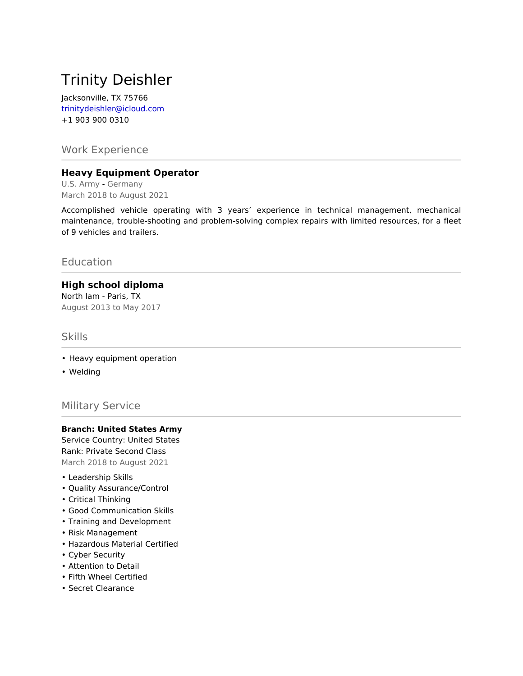# Trinity Deishler

Jacksonville, TX 75766 trinitydeishler@icloud.com +1 903 900 0310

## Work Experience

### **Heavy Equipment Operator**

U.S. Army - Germany March 2018 to August 2021

Accomplished vehicle operating with 3 years' experience in technical management, mechanical maintenance, trouble-shooting and problem-solving complex repairs with limited resources, for a fleet of 9 vehicles and trailers.

## Education

### **High school diploma**

North lam - Paris, TX August 2013 to May 2017

#### Skills

- Heavy equipment operation
- Welding

### Military Service

#### **Branch: United States Army**

Service Country: United States Rank: Private Second Class March 2018 to August 2021

- Leadership Skills
- Quality Assurance/Control
- Critical Thinking
- Good Communication Skills
- Training and Development
- Risk Management
- Hazardous Material Certified
- Cyber Security
- Attention to Detail
- Fifth Wheel Certified
- Secret Clearance